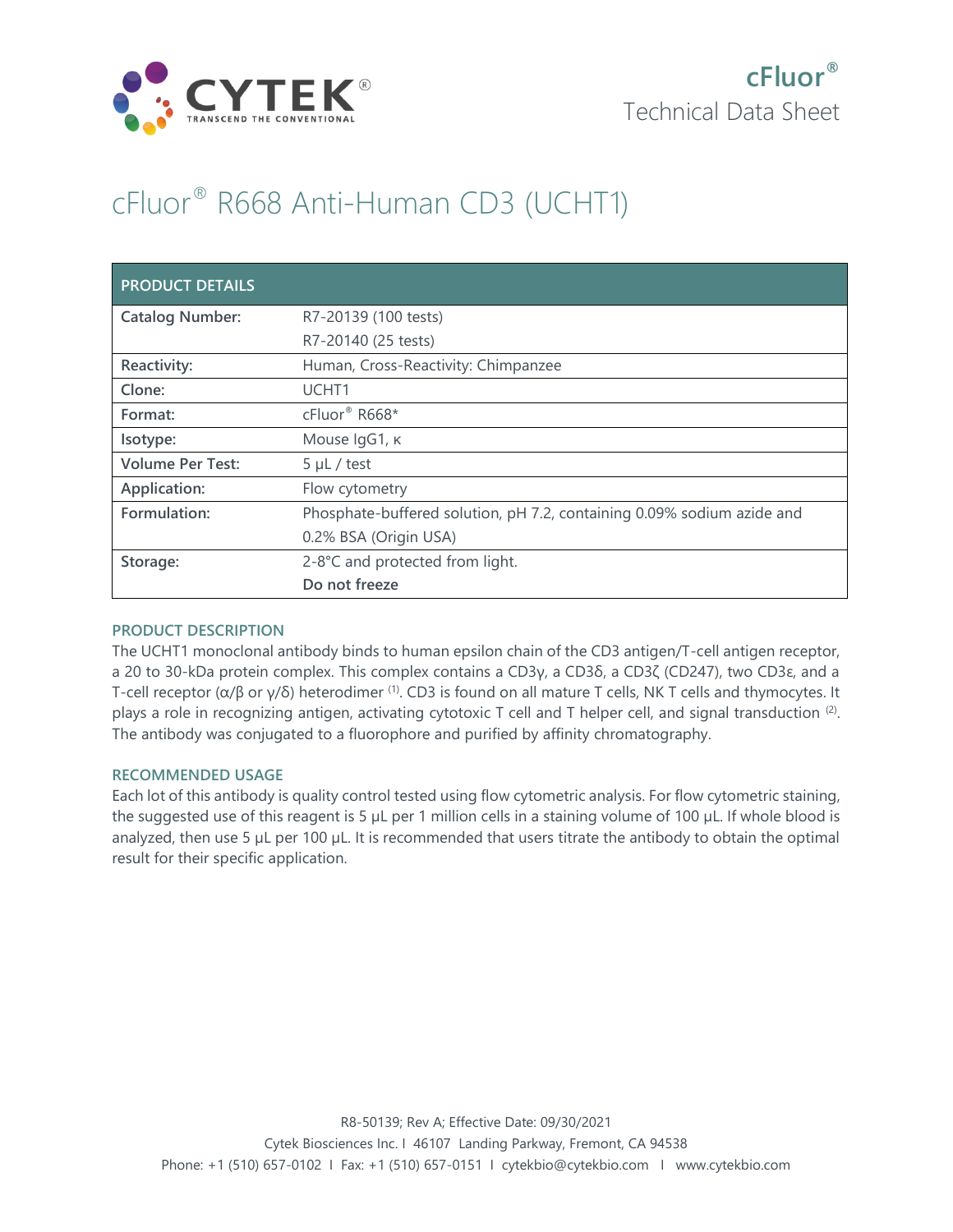

# cFluor® R668 Anti-Human CD3 (UCHT1)

| <b>PRODUCT DETAILS</b>  |                                                                        |
|-------------------------|------------------------------------------------------------------------|
| <b>Catalog Number:</b>  | R7-20139 (100 tests)                                                   |
|                         | R7-20140 (25 tests)                                                    |
| Reactivity:             | Human, Cross-Reactivity: Chimpanzee                                    |
| Clone:                  | UCHT <sub>1</sub>                                                      |
| Format:                 | cFluor <sup>®</sup> R668*                                              |
| Isotype:                | Mouse IgG1, к                                                          |
| <b>Volume Per Test:</b> | $5 \mu L$ / test                                                       |
| Application:            | Flow cytometry                                                         |
| Formulation:            | Phosphate-buffered solution, pH 7.2, containing 0.09% sodium azide and |
|                         | 0.2% BSA (Origin USA)                                                  |
| Storage:                | 2-8°C and protected from light.                                        |
|                         | Do not freeze                                                          |

## **PRODUCT DESCRIPTION**

The UCHT1 monoclonal antibody binds to human epsilon chain of the CD3 antigen/T-cell antigen receptor, a 20 to 30-kDa protein complex. This complex contains a CD3γ, a CD3δ, a CD3ζ (CD247), two CD3ε, and a T-cell receptor (α/β or γ/δ) heterodimer (1). CD3 is found on all mature T cells, NK T cells and thymocytes. It plays a role in recognizing antigen, activating cytotoxic T cell and T helper cell, and signal transduction  $(2)$ . The antibody was conjugated to a fluorophore and purified by affinity chromatography.

## **RECOMMENDED USAGE**

Each lot of this antibody is quality control tested using flow cytometric analysis. For flow cytometric staining, the suggested use of this reagent is 5 µL per 1 million cells in a staining volume of 100 µL. If whole blood is analyzed, then use 5 µL per 100 µL. It is recommended that users titrate the antibody to obtain the optimal result for their specific application.